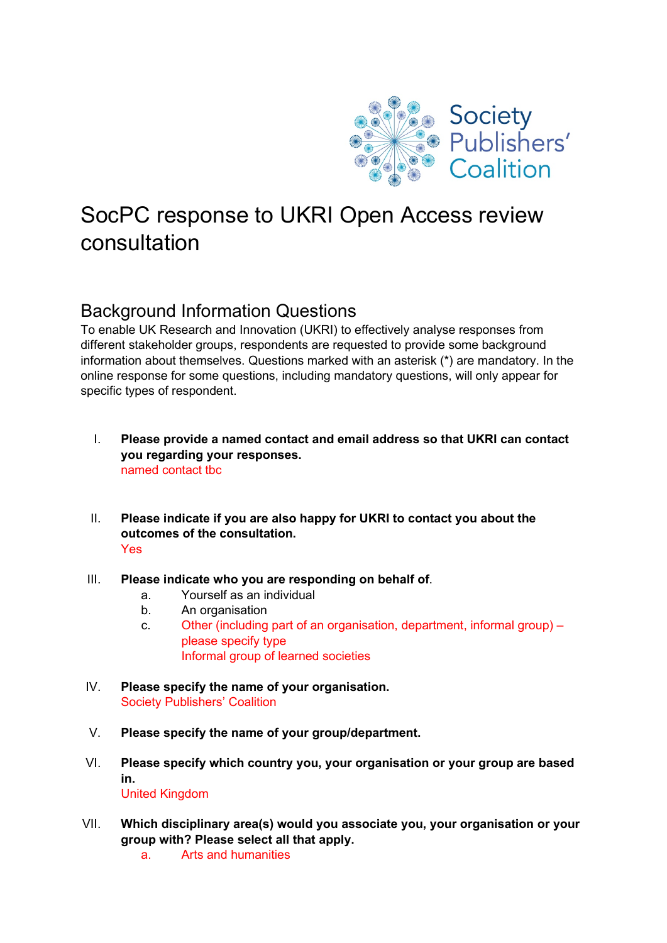

# SocPC response to UKRI Open Access review consultation

## Background Information Questions

To enable UK Research and Innovation (UKRI) to effectively analyse responses from different stakeholder groups, respondents are requested to provide some background information about themselves. Questions marked with an asterisk (\*) are mandatory. In the online response for some questions, including mandatory questions, will only appear for specific types of respondent.

- I. **Please provide a named contact and email address so that UKRI can contact you regarding your responses.** named contact tbc
- II. **Please indicate if you are also happy for UKRI to contact you about the outcomes of the consultation.** Yes
- III. **Please indicate who you are responding on behalf of**.
	- a. Yourself as an individual
	- b. An organisation
	- c. Other (including part of an organisation, department, informal group) please specify type Informal group of learned societies
- IV. **Please specify the name of your organisation.** Society Publishers' Coalition
- V. **Please specify the name of your group/department.**
- VI. **Please specify which country you, your organisation or your group are based in.**  United Kingdom
- VII. **Which disciplinary area(s) would you associate you, your organisation or your group with? Please select all that apply.**
	- a. Arts and humanities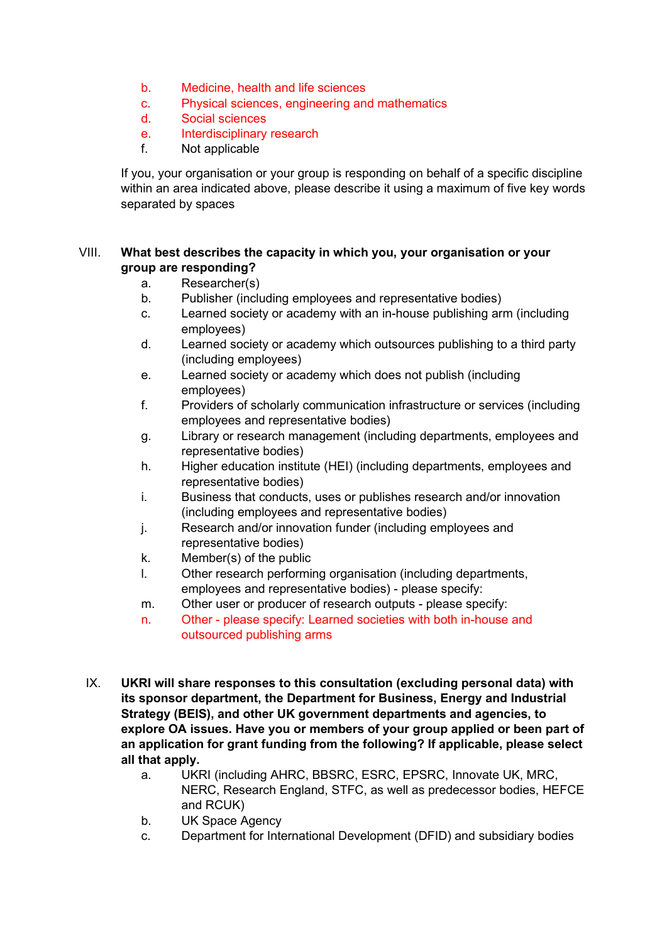- b. Medicine, health and life sciences
- c. Physical sciences, engineering and mathematics
- d. Social sciences
- e. Interdisciplinary research
- f. Not applicable

If you, your organisation or your group is responding on behalf of a specific discipline within an area indicated above, please describe it using a maximum of five key words separated by spaces

#### VIII. **What best describes the capacity in which you, your organisation or your group are responding?**

- a. Researcher(s)
- b. Publisher (including employees and representative bodies)
- c. Learned society or academy with an in-house publishing arm (including employees)
- d. Learned society or academy which outsources publishing to a third party (including employees)
- e. Learned society or academy which does not publish (including employees)
- f. Providers of scholarly communication infrastructure or services (including employees and representative bodies)
- g. Library or research management (including departments, employees and representative bodies)
- h. Higher education institute (HEI) (including departments, employees and representative bodies)
- i. Business that conducts, uses or publishes research and/or innovation (including employees and representative bodies)
- j. Research and/or innovation funder (including employees and representative bodies)
- k. Member(s) of the public
- l. Other research performing organisation (including departments, employees and representative bodies) - please specify:
- m. Other user or producer of research outputs please specify:
- n. Other please specify: Learned societies with both in-house and outsourced publishing arms
- IX. **UKRI will share responses to this consultation (excluding personal data) with its sponsor department, the Department for Business, Energy and Industrial Strategy (BEIS), and other UK government departments and agencies, to explore OA issues. Have you or members of your group applied or been part of an application for grant funding from the following? If applicable, please select all that apply.** 
	- a. UKRI (including AHRC, BBSRC, ESRC, EPSRC, Innovate UK, MRC, NERC, Research England, STFC, as well as predecessor bodies, HEFCE and RCUK)
	- b. UK Space Agency
	- c. Department for International Development (DFID) and subsidiary bodies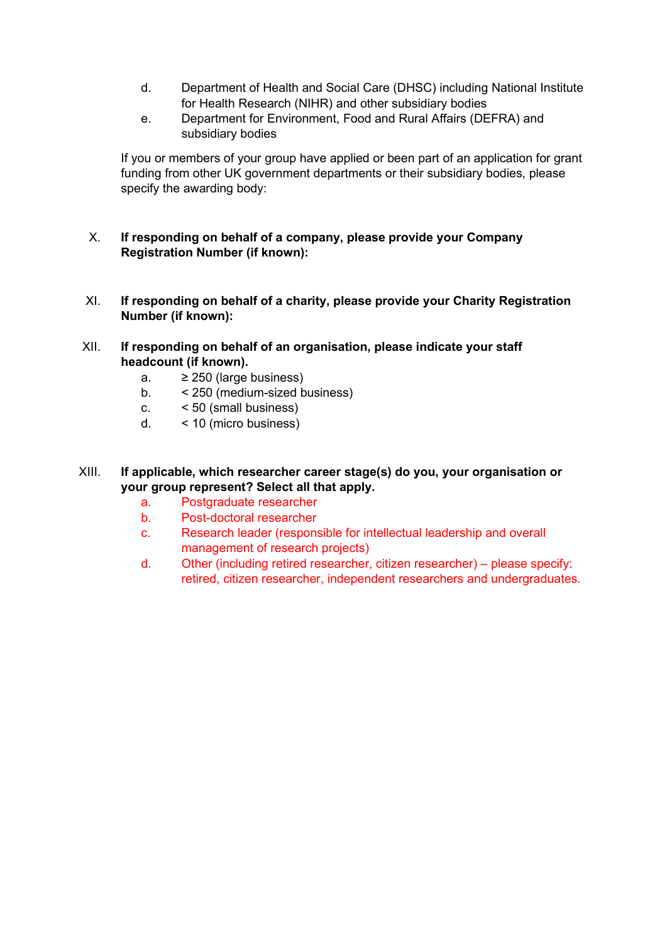- d. Department of Health and Social Care (DHSC) including National Institute for Health Research (NIHR) and other subsidiary bodies
- e. Department for Environment, Food and Rural Affairs (DEFRA) and subsidiary bodies

If you or members of your group have applied or been part of an application for grant funding from other UK government departments or their subsidiary bodies, please specify the awarding body:

- X. **If responding on behalf of a company, please provide your Company Registration Number (if known):**
- XI. **If responding on behalf of a charity, please provide your Charity Registration Number (if known):**
- XII. **If responding on behalf of an organisation, please indicate your staff headcount (if known).** 
	- a.  $\geq 250$  (large business)
	- b. < 250 (medium-sized business)
	- c. < 50 (small business)
	- d. < 10 (micro business)
- XIII. **If applicable, which researcher career stage(s) do you, your organisation or your group represent? Select all that apply.** 
	- a. Postgraduate researcher
	- b. Post-doctoral researcher
	- c. Research leader (responsible for intellectual leadership and overall management of research projects)
	- d. Other (including retired researcher, citizen researcher) please specify: retired, citizen researcher, independent researchers and undergraduates.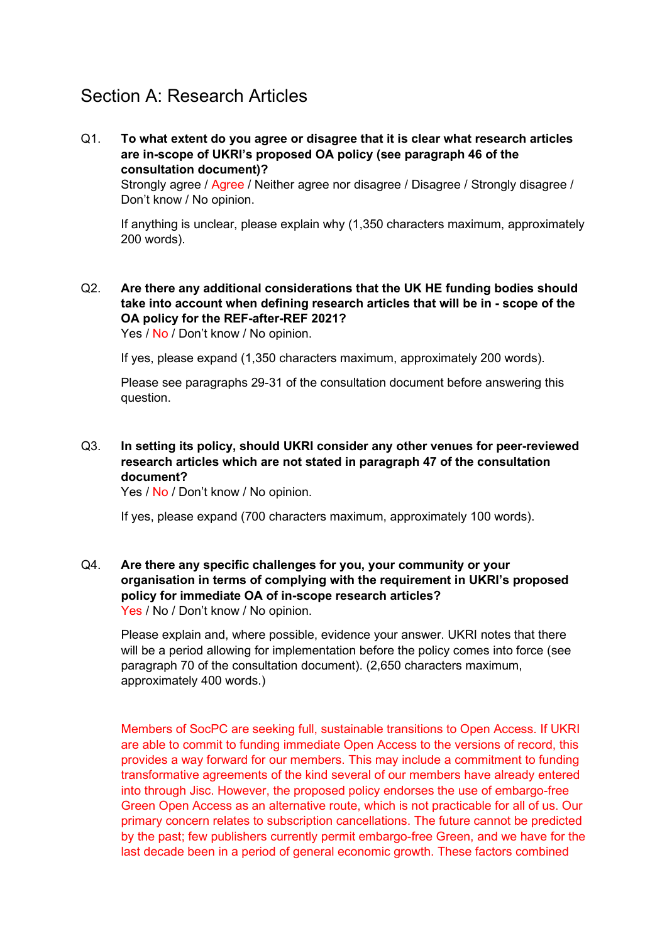## Section A: Research Articles

Q1. **To what extent do you agree or disagree that it is clear what research articles are in-scope of UKRI's proposed OA policy (see paragraph 46 of the consultation document)?** 

Strongly agree / Agree / Neither agree nor disagree / Disagree / Strongly disagree / Don't know / No opinion.

If anything is unclear, please explain why (1,350 characters maximum, approximately 200 words).

Q2. **Are there any additional considerations that the UK HE funding bodies should take into account when defining research articles that will be in - scope of the OA policy for the REF-after-REF 2021?** 

Yes / No / Don't know / No opinion.

If yes, please expand (1,350 characters maximum, approximately 200 words).

Please see paragraphs 29-31 of the consultation document before answering this question.

Q3. **In setting its policy, should UKRI consider any other venues for peer-reviewed research articles which are not stated in paragraph 47 of the consultation document?**

Yes / No / Don't know / No opinion.

If yes, please expand (700 characters maximum, approximately 100 words).

Q4. **Are there any specific challenges for you, your community or your organisation in terms of complying with the requirement in UKRI's proposed policy for immediate OA of in-scope research articles?** Yes / No / Don't know / No opinion.

Please explain and, where possible, evidence your answer. UKRI notes that there will be a period allowing for implementation before the policy comes into force (see paragraph 70 of the consultation document). (2,650 characters maximum, approximately 400 words.)

Members of SocPC are seeking full, sustainable transitions to Open Access. If UKRI are able to commit to funding immediate Open Access to the versions of record, this provides a way forward for our members. This may include a commitment to funding transformative agreements of the kind several of our members have already entered into through Jisc. However, the proposed policy endorses the use of embargo-free Green Open Access as an alternative route, which is not practicable for all of us. Our primary concern relates to subscription cancellations. The future cannot be predicted by the past; few publishers currently permit embargo-free Green, and we have for the last decade been in a period of general economic growth. These factors combined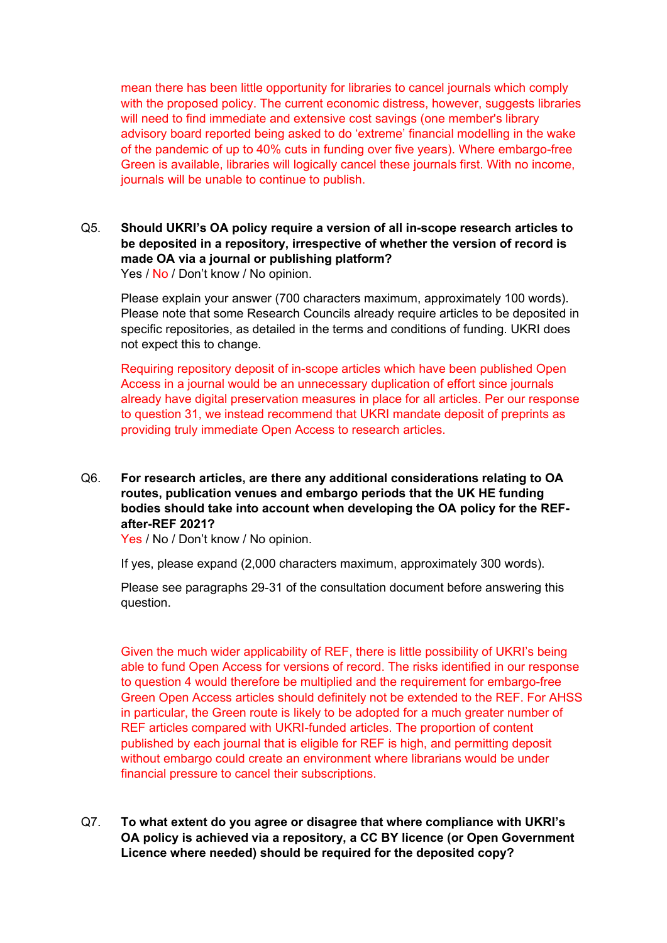mean there has been little opportunity for libraries to cancel journals which comply with the proposed policy. The current economic distress, however, suggests libraries will need to find immediate and extensive cost savings (one member's library advisory board reported being asked to do 'extreme' financial modelling in the wake of the pandemic of up to 40% cuts in funding over five years). Where embargo-free Green is available, libraries will logically cancel these journals first. With no income, journals will be unable to continue to publish.

#### Q5. **Should UKRI's OA policy require a version of all in-scope research articles to be deposited in a repository, irrespective of whether the version of record is made OA via a journal or publishing platform?**

Yes / No / Don't know / No opinion.

Please explain your answer (700 characters maximum, approximately 100 words). Please note that some Research Councils already require articles to be deposited in specific repositories, as detailed in the terms and conditions of funding. UKRI does not expect this to change.

Requiring repository deposit of in-scope articles which have been published Open Access in a journal would be an unnecessary duplication of effort since journals already have digital preservation measures in place for all articles. Per our response to question 31, we instead recommend that UKRI mandate deposit of preprints as providing truly immediate Open Access to research articles.

#### Q6. **For research articles, are there any additional considerations relating to OA routes, publication venues and embargo periods that the UK HE funding bodies should take into account when developing the OA policy for the REFafter-REF 2021?**

Yes / No / Don't know / No opinion.

If yes, please expand (2,000 characters maximum, approximately 300 words).

Please see paragraphs 29-31 of the consultation document before answering this question.

Given the much wider applicability of REF, there is little possibility of UKRI's being able to fund Open Access for versions of record. The risks identified in our response to question 4 would therefore be multiplied and the requirement for embargo-free Green Open Access articles should definitely not be extended to the REF. For AHSS in particular, the Green route is likely to be adopted for a much greater number of REF articles compared with UKRI-funded articles. The proportion of content published by each journal that is eligible for REF is high, and permitting deposit without embargo could create an environment where librarians would be under financial pressure to cancel their subscriptions.

Q7. **To what extent do you agree or disagree that where compliance with UKRI's OA policy is achieved via a repository, a CC BY licence (or Open Government Licence where needed) should be required for the deposited copy?**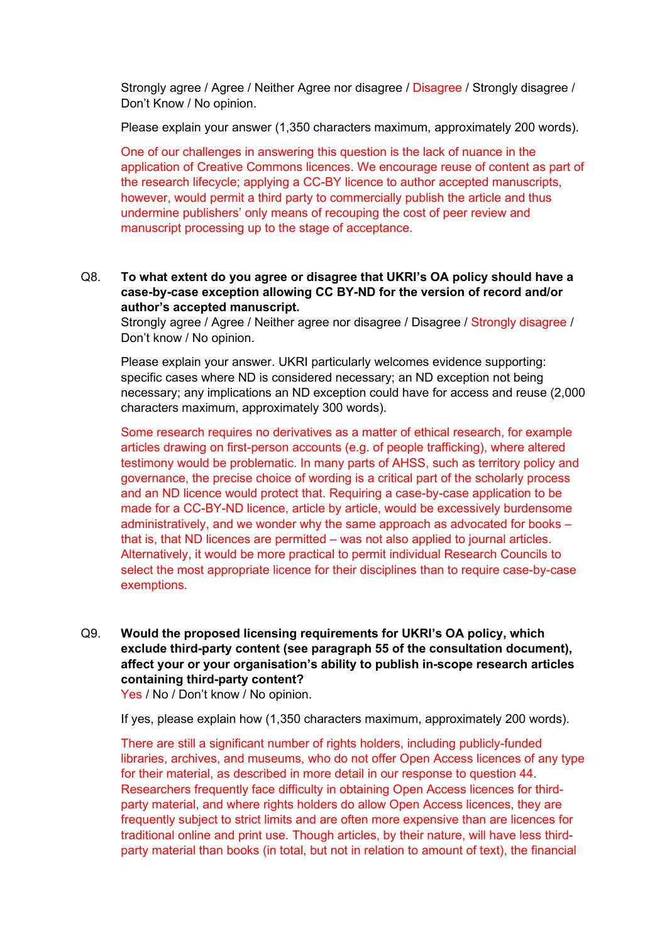Strongly agree / Agree / Neither Agree nor disagree / Disagree / Strongly disagree / Don't Know / No opinion.

Please explain your answer (1,350 characters maximum, approximately 200 words).

One of our challenges in answering this question is the lack of nuance in the application of Creative Commons licences. We encourage reuse of content as part of the research lifecycle; applying a CC-BY licence to author accepted manuscripts, however, would permit a third party to commercially publish the article and thus undermine publishers' only means of recouping the cost of peer review and manuscript processing up to the stage of acceptance.

Q8. **To what extent do you agree or disagree that UKRI's OA policy should have a case-by-case exception allowing CC BY-ND for the version of record and/or author's accepted manuscript.**

Strongly agree / Agree / Neither agree nor disagree / Disagree / Strongly disagree / Don't know / No opinion.

Please explain your answer. UKRI particularly welcomes evidence supporting: specific cases where ND is considered necessary; an ND exception not being necessary; any implications an ND exception could have for access and reuse (2,000 characters maximum, approximately 300 words).

Some research requires no derivatives as a matter of ethical research, for example articles drawing on first-person accounts (e.g. of people trafficking), where altered testimony would be problematic. In many parts of AHSS, such as territory policy and governance, the precise choice of wording is a critical part of the scholarly process and an ND licence would protect that. Requiring a case-by-case application to be made for a CC-BY-ND licence, article by article, would be excessively burdensome administratively, and we wonder why the same approach as advocated for books – that is, that ND licences are permitted – was not also applied to journal articles. Alternatively, it would be more practical to permit individual Research Councils to select the most appropriate licence for their disciplines than to require case-by-case exemptions.

Q9. **Would the proposed licensing requirements for UKRI's OA policy, which exclude third-party content (see paragraph 55 of the consultation document), affect your or your organisation's ability to publish in-scope research articles containing third-party content?** 

Yes / No / Don't know / No opinion.

If yes, please explain how (1,350 characters maximum, approximately 200 words).

There are still a significant number of rights holders, including publicly-funded libraries, archives, and museums, who do not offer Open Access licences of any type for their material, as described in more detail in our response to question 44. Researchers frequently face difficulty in obtaining Open Access licences for thirdparty material, and where rights holders do allow Open Access licences, they are frequently subject to strict limits and are often more expensive than are licences for traditional online and print use. Though articles, by their nature, will have less thirdparty material than books (in total, but not in relation to amount of text), the financial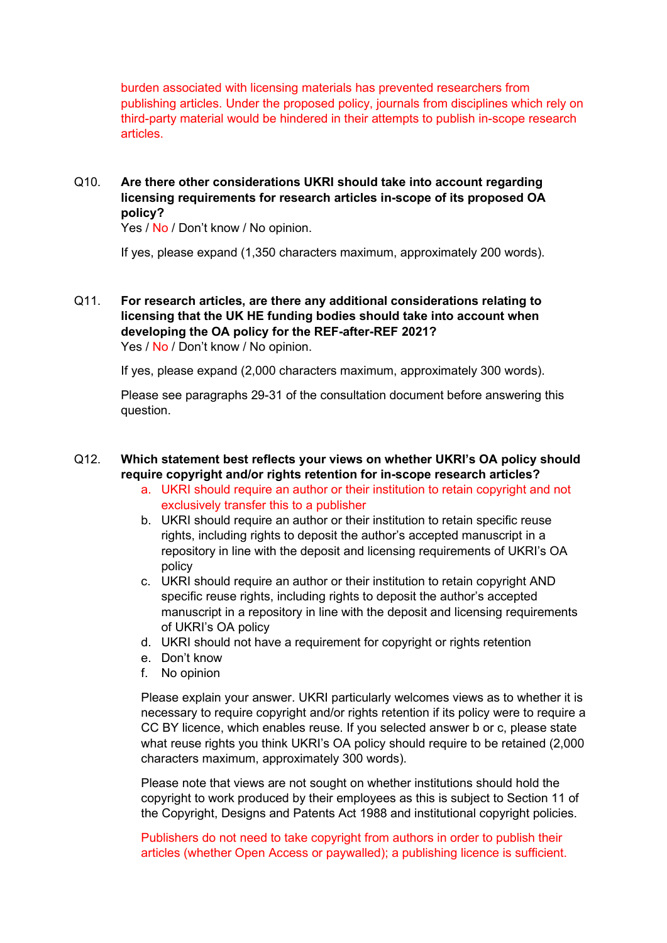burden associated with licensing materials has prevented researchers from publishing articles. Under the proposed policy, journals from disciplines which rely on third-party material would be hindered in their attempts to publish in-scope research articles.

#### Q10. **Are there other considerations UKRI should take into account regarding licensing requirements for research articles in-scope of its proposed OA policy?**

Yes / No / Don't know / No opinion.

If yes, please expand (1,350 characters maximum, approximately 200 words).

#### Q11. **For research articles, are there any additional considerations relating to licensing that the UK HE funding bodies should take into account when developing the OA policy for the REF-after-REF 2021?** Yes / No / Don't know / No opinion.

If yes, please expand (2,000 characters maximum, approximately 300 words).

Please see paragraphs 29-31 of the consultation document before answering this question.

#### Q12. **Which statement best reflects your views on whether UKRI's OA policy should require copyright and/or rights retention for in-scope research articles?**

- a. UKRI should require an author or their institution to retain copyright and not exclusively transfer this to a publisher
- b. UKRI should require an author or their institution to retain specific reuse rights, including rights to deposit the author's accepted manuscript in a repository in line with the deposit and licensing requirements of UKRI's OA policy
- c. UKRI should require an author or their institution to retain copyright AND specific reuse rights, including rights to deposit the author's accepted manuscript in a repository in line with the deposit and licensing requirements of UKRI's OA policy
- d. UKRI should not have a requirement for copyright or rights retention
- e. Don't know
- f. No opinion

Please explain your answer. UKRI particularly welcomes views as to whether it is necessary to require copyright and/or rights retention if its policy were to require a CC BY licence, which enables reuse. If you selected answer b or c, please state what reuse rights you think UKRI's OA policy should require to be retained (2,000) characters maximum, approximately 300 words).

Please note that views are not sought on whether institutions should hold the copyright to work produced by their employees as this is subject to Section 11 of the Copyright, Designs and Patents Act 1988 and institutional copyright policies.

Publishers do not need to take copyright from authors in order to publish their articles (whether Open Access or paywalled); a publishing licence is sufficient.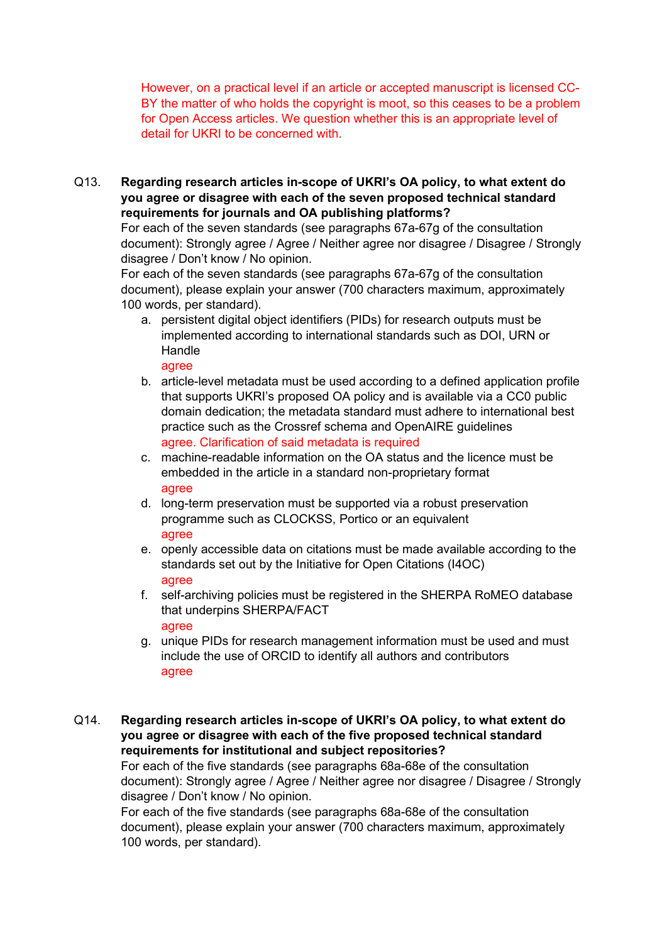However, on a practical level if an article or accepted manuscript is licensed CC-BY the matter of who holds the copyright is moot, so this ceases to be a problem for Open Access articles. We question whether this is an appropriate level of detail for UKRI to be concerned with.

Q13. **Regarding research articles in-scope of UKRI's OA policy, to what extent do you agree or disagree with each of the seven proposed technical standard requirements for journals and OA publishing platforms?** 

For each of the seven standards (see paragraphs 67a-67g of the consultation document): Strongly agree / Agree / Neither agree nor disagree / Disagree / Strongly disagree / Don't know / No opinion.

For each of the seven standards (see paragraphs 67a-67g of the consultation document), please explain your answer (700 characters maximum, approximately 100 words, per standard).

a. persistent digital object identifiers (PIDs) for research outputs must be implemented according to international standards such as DOI, URN or Handle

agree

- b. article-level metadata must be used according to a defined application profile that supports UKRI's proposed OA policy and is available via a CC0 public domain dedication; the metadata standard must adhere to international best practice such as the Crossref schema and OpenAIRE guidelines agree. Clarification of said metadata is required
- c. machine-readable information on the OA status and the licence must be embedded in the article in a standard non-proprietary format agree
- d. long-term preservation must be supported via a robust preservation programme such as CLOCKSS, Portico or an equivalent agree
- e. openly accessible data on citations must be made available according to the standards set out by the Initiative for Open Citations (I4OC) agree
- f. self-archiving policies must be registered in the SHERPA RoMEO database that underpins SHERPA/FACT agree
- g. unique PIDs for research management information must be used and must include the use of ORCID to identify all authors and contributors agree
- Q14. **Regarding research articles in-scope of UKRI's OA policy, to what extent do you agree or disagree with each of the five proposed technical standard requirements for institutional and subject repositories?**

For each of the five standards (see paragraphs 68a-68e of the consultation document): Strongly agree / Agree / Neither agree nor disagree / Disagree / Strongly disagree / Don't know / No opinion.

For each of the five standards (see paragraphs 68a-68e of the consultation document), please explain your answer (700 characters maximum, approximately 100 words, per standard).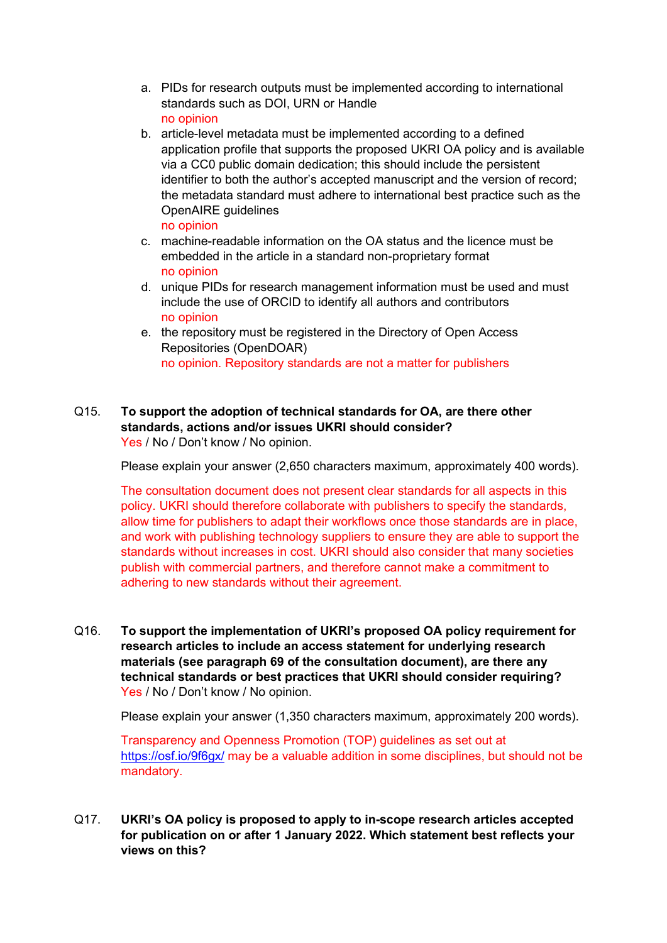- a. PIDs for research outputs must be implemented according to international standards such as DOI, URN or Handle no opinion
- b. article-level metadata must be implemented according to a defined application profile that supports the proposed UKRI OA policy and is available via a CC0 public domain dedication; this should include the persistent identifier to both the author's accepted manuscript and the version of record; the metadata standard must adhere to international best practice such as the OpenAIRE guidelines no opinion
- c. machine-readable information on the OA status and the licence must be embedded in the article in a standard non-proprietary format no opinion
- d. unique PIDs for research management information must be used and must include the use of ORCID to identify all authors and contributors no opinion
- e. the repository must be registered in the Directory of Open Access Repositories (OpenDOAR) no opinion. Repository standards are not a matter for publishers
- Q15. **To support the adoption of technical standards for OA, are there other standards, actions and/or issues UKRI should consider?** Yes / No / Don't know / No opinion.

Please explain your answer (2,650 characters maximum, approximately 400 words).

The consultation document does not present clear standards for all aspects in this policy. UKRI should therefore collaborate with publishers to specify the standards, allow time for publishers to adapt their workflows once those standards are in place, and work with publishing technology suppliers to ensure they are able to support the standards without increases in cost. UKRI should also consider that many societies publish with commercial partners, and therefore cannot make a commitment to adhering to new standards without their agreement.

Q16. **To support the implementation of UKRI's proposed OA policy requirement for research articles to include an access statement for underlying research materials (see paragraph 69 of the consultation document), are there any technical standards or best practices that UKRI should consider requiring?** Yes / No / Don't know / No opinion.

Please explain your answer (1,350 characters maximum, approximately 200 words).

Transparency and Openness Promotion (TOP) guidelines as set out at <https://osf.io/9f6gx/> may be a valuable addition in some disciplines, but should not be mandatory.

Q17. **UKRI's OA policy is proposed to apply to in-scope research articles accepted for publication on or after 1 January 2022. Which statement best reflects your views on this?**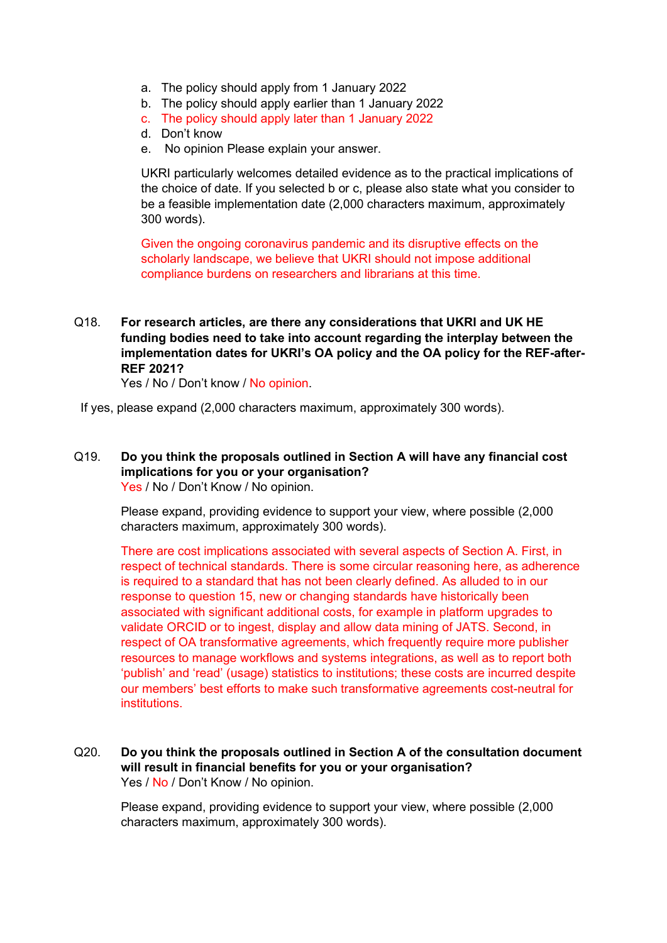- a. The policy should apply from 1 January 2022
- b. The policy should apply earlier than 1 January 2022
- c. The policy should apply later than 1 January 2022
- d. Don't know
- e. No opinion Please explain your answer.

UKRI particularly welcomes detailed evidence as to the practical implications of the choice of date. If you selected b or c, please also state what you consider to be a feasible implementation date (2,000 characters maximum, approximately 300 words).

Given the ongoing coronavirus pandemic and its disruptive effects on the scholarly landscape, we believe that UKRI should not impose additional compliance burdens on researchers and librarians at this time.

Q18. **For research articles, are there any considerations that UKRI and UK HE funding bodies need to take into account regarding the interplay between the implementation dates for UKRI's OA policy and the OA policy for the REF-after-REF 2021?** 

Yes / No / Don't know / No opinion.

If yes, please expand (2,000 characters maximum, approximately 300 words).

#### Q19. **Do you think the proposals outlined in Section A will have any financial cost implications for you or your organisation?** Yes / No / Don't Know / No opinion.

Please expand, providing evidence to support your view, where possible (2,000 characters maximum, approximately 300 words).

There are cost implications associated with several aspects of Section A. First, in respect of technical standards. There is some circular reasoning here, as adherence is required to a standard that has not been clearly defined. As alluded to in our response to question 15, new or changing standards have historically been associated with significant additional costs, for example in platform upgrades to validate ORCID or to ingest, display and allow data mining of JATS. Second, in respect of OA transformative agreements, which frequently require more publisher resources to manage workflows and systems integrations, as well as to report both 'publish' and 'read' (usage) statistics to institutions; these costs are incurred despite our members' best efforts to make such transformative agreements cost-neutral for institutions.

Q20. **Do you think the proposals outlined in Section A of the consultation document will result in financial benefits for you or your organisation?** Yes / No / Don't Know / No opinion.

Please expand, providing evidence to support your view, where possible (2,000 characters maximum, approximately 300 words).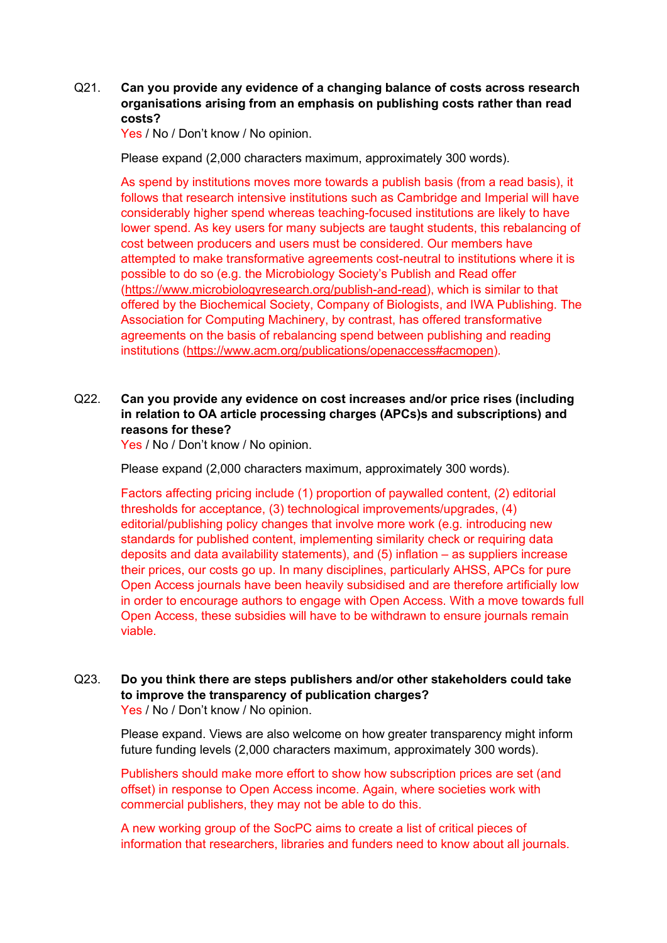#### Q21. **Can you provide any evidence of a changing balance of costs across research organisations arising from an emphasis on publishing costs rather than read costs?**

Yes / No / Don't know / No opinion.

Please expand (2,000 characters maximum, approximately 300 words).

As spend by institutions moves more towards a publish basis (from a read basis), it follows that research intensive institutions such as Cambridge and Imperial will have considerably higher spend whereas teaching-focused institutions are likely to have lower spend. As key users for many subjects are taught students, this rebalancing of cost between producers and users must be considered. Our members have attempted to make transformative agreements cost-neutral to institutions where it is possible to do so (e.g. the Microbiology Society's Publish and Read offer [\(https://www.microbiologyresearch.org/publish-and-read\)](https://www.microbiologyresearch.org/publish-and-read), which is similar to that offered by the Biochemical Society, Company of Biologists, and IWA Publishing. The Association for Computing Machinery, by contrast, has offered transformative agreements on the basis of rebalancing spend between publishing and reading institutions [\(https://www.acm.org/publications/openaccess#acmopen\)](https://www.acm.org/publications/openaccess#acmopen).

#### Q22. **Can you provide any evidence on cost increases and/or price rises (including in relation to OA article processing charges (APCs)s and subscriptions) and reasons for these?**

Yes / No / Don't know / No opinion.

Please expand (2,000 characters maximum, approximately 300 words).

Factors affecting pricing include (1) proportion of paywalled content, (2) editorial thresholds for acceptance, (3) technological improvements/upgrades, (4) editorial/publishing policy changes that involve more work (e.g. introducing new standards for published content, implementing similarity check or requiring data deposits and data availability statements), and (5) inflation – as suppliers increase their prices, our costs go up. In many disciplines, particularly AHSS, APCs for pure Open Access journals have been heavily subsidised and are therefore artificially low in order to encourage authors to engage with Open Access. With a move towards full Open Access, these subsidies will have to be withdrawn to ensure journals remain viable.

#### Q23. **Do you think there are steps publishers and/or other stakeholders could take to improve the transparency of publication charges?** Yes / No / Don't know / No opinion.

Please expand. Views are also welcome on how greater transparency might inform future funding levels (2,000 characters maximum, approximately 300 words).

Publishers should make more effort to show how subscription prices are set (and offset) in response to Open Access income. Again, where societies work with commercial publishers, they may not be able to do this.

A new working group of the SocPC aims to create a list of critical pieces of information that researchers, libraries and funders need to know about all journals.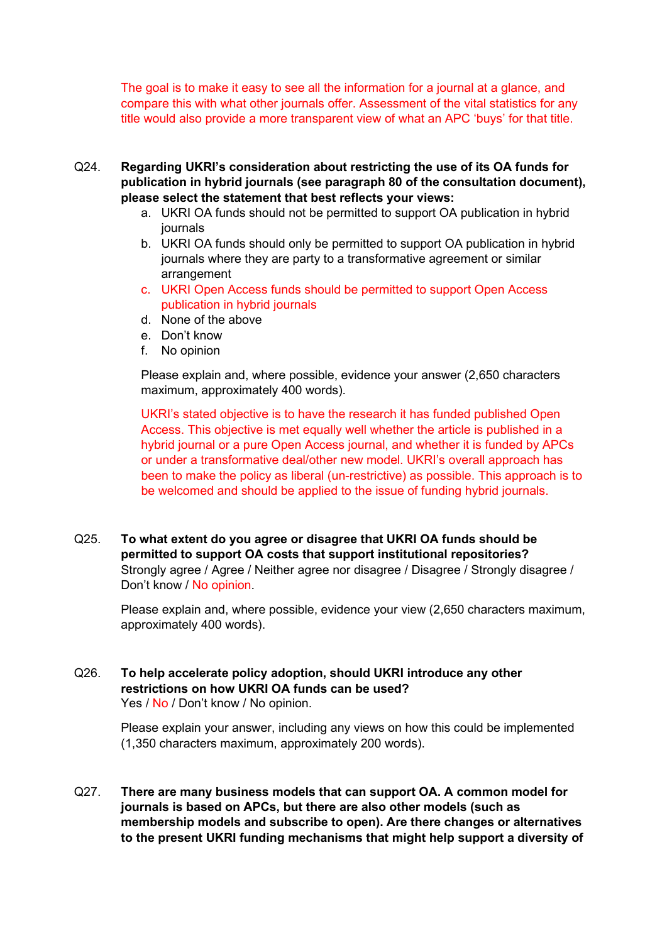The goal is to make it easy to see all the information for a journal at a glance, and compare this with what other journals offer. Assessment of the vital statistics for any title would also provide a more transparent view of what an APC 'buys' for that title.

- Q24. **Regarding UKRI's consideration about restricting the use of its OA funds for publication in hybrid journals (see paragraph 80 of the consultation document), please select the statement that best reflects your views:** 
	- a. UKRI OA funds should not be permitted to support OA publication in hybrid journals
	- b. UKRI OA funds should only be permitted to support OA publication in hybrid journals where they are party to a transformative agreement or similar arrangement
	- c. UKRI Open Access funds should be permitted to support Open Access publication in hybrid journals
	- d. None of the above
	- e. Don't know
	- f. No opinion

Please explain and, where possible, evidence your answer (2,650 characters maximum, approximately 400 words).

UKRI's stated objective is to have the research it has funded published Open Access. This objective is met equally well whether the article is published in a hybrid journal or a pure Open Access journal, and whether it is funded by APCs or under a transformative deal/other new model. UKRI's overall approach has been to make the policy as liberal (un-restrictive) as possible. This approach is to be welcomed and should be applied to the issue of funding hybrid journals.

Q25. **To what extent do you agree or disagree that UKRI OA funds should be permitted to support OA costs that support institutional repositories?** Strongly agree / Agree / Neither agree nor disagree / Disagree / Strongly disagree / Don't know / No opinion.

Please explain and, where possible, evidence your view (2,650 characters maximum, approximately 400 words).

Q26. **To help accelerate policy adoption, should UKRI introduce any other restrictions on how UKRI OA funds can be used?** Yes / No / Don't know / No opinion.

> Please explain your answer, including any views on how this could be implemented (1,350 characters maximum, approximately 200 words).

Q27. **There are many business models that can support OA. A common model for journals is based on APCs, but there are also other models (such as membership models and subscribe to open). Are there changes or alternatives to the present UKRI funding mechanisms that might help support a diversity of**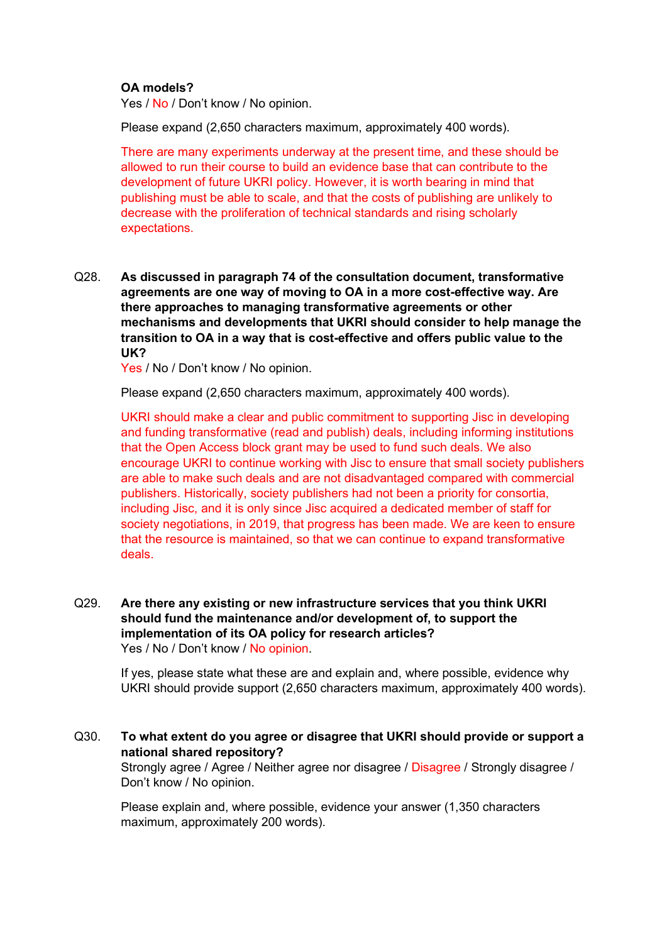#### **OA models?**

Yes / No / Don't know / No opinion.

Please expand (2,650 characters maximum, approximately 400 words).

There are many experiments underway at the present time, and these should be allowed to run their course to build an evidence base that can contribute to the development of future UKRI policy. However, it is worth bearing in mind that publishing must be able to scale, and that the costs of publishing are unlikely to decrease with the proliferation of technical standards and rising scholarly expectations.

Q28. **As discussed in paragraph 74 of the consultation document, transformative agreements are one way of moving to OA in a more cost-effective way. Are there approaches to managing transformative agreements or other mechanisms and developments that UKRI should consider to help manage the transition to OA in a way that is cost-effective and offers public value to the UK?** 

Yes / No / Don't know / No opinion.

Please expand (2,650 characters maximum, approximately 400 words).

UKRI should make a clear and public commitment to supporting Jisc in developing and funding transformative (read and publish) deals, including informing institutions that the Open Access block grant may be used to fund such deals. We also encourage UKRI to continue working with Jisc to ensure that small society publishers are able to make such deals and are not disadvantaged compared with commercial publishers. Historically, society publishers had not been a priority for consortia, including Jisc, and it is only since Jisc acquired a dedicated member of staff for society negotiations, in 2019, that progress has been made. We are keen to ensure that the resource is maintained, so that we can continue to expand transformative deals.

Q29. **Are there any existing or new infrastructure services that you think UKRI should fund the maintenance and/or development of, to support the implementation of its OA policy for research articles?**  Yes / No / Don't know / No opinion.

If yes, please state what these are and explain and, where possible, evidence why UKRI should provide support (2,650 characters maximum, approximately 400 words).

Q30. **To what extent do you agree or disagree that UKRI should provide or support a national shared repository?** Strongly agree / Agree / Neither agree nor disagree / Disagree / Strongly disagree / Don't know / No opinion.

Please explain and, where possible, evidence your answer (1,350 characters maximum, approximately 200 words).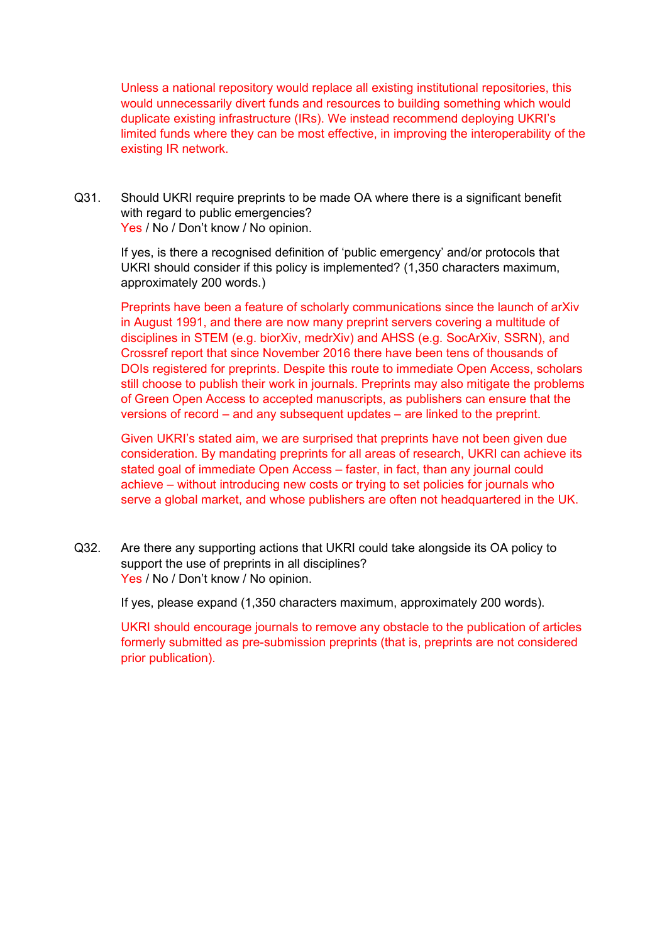Unless a national repository would replace all existing institutional repositories, this would unnecessarily divert funds and resources to building something which would duplicate existing infrastructure (IRs). We instead recommend deploying UKRI's limited funds where they can be most effective, in improving the interoperability of the existing IR network.

Q31. Should UKRI require preprints to be made OA where there is a significant benefit with regard to public emergencies? Yes / No / Don't know / No opinion.

If yes, is there a recognised definition of 'public emergency' and/or protocols that UKRI should consider if this policy is implemented? (1,350 characters maximum, approximately 200 words.)

Preprints have been a feature of scholarly communications since the launch of arXiv in August 1991, and there are now many preprint servers covering a multitude of disciplines in STEM (e.g. biorXiv, medrXiv) and AHSS (e.g. SocArXiv, SSRN), and Crossref report that since November 2016 there have been tens of thousands of DOIs registered for preprints. Despite this route to immediate Open Access, scholars still choose to publish their work in journals. Preprints may also mitigate the problems of Green Open Access to accepted manuscripts, as publishers can ensure that the versions of record – and any subsequent updates – are linked to the preprint.

Given UKRI's stated aim, we are surprised that preprints have not been given due consideration. By mandating preprints for all areas of research, UKRI can achieve its stated goal of immediate Open Access – faster, in fact, than any journal could achieve – without introducing new costs or trying to set policies for journals who serve a global market, and whose publishers are often not headquartered in the UK.

Q32. Are there any supporting actions that UKRI could take alongside its OA policy to support the use of preprints in all disciplines? Yes / No / Don't know / No opinion.

If yes, please expand (1,350 characters maximum, approximately 200 words).

UKRI should encourage journals to remove any obstacle to the publication of articles formerly submitted as pre-submission preprints (that is, preprints are not considered prior publication).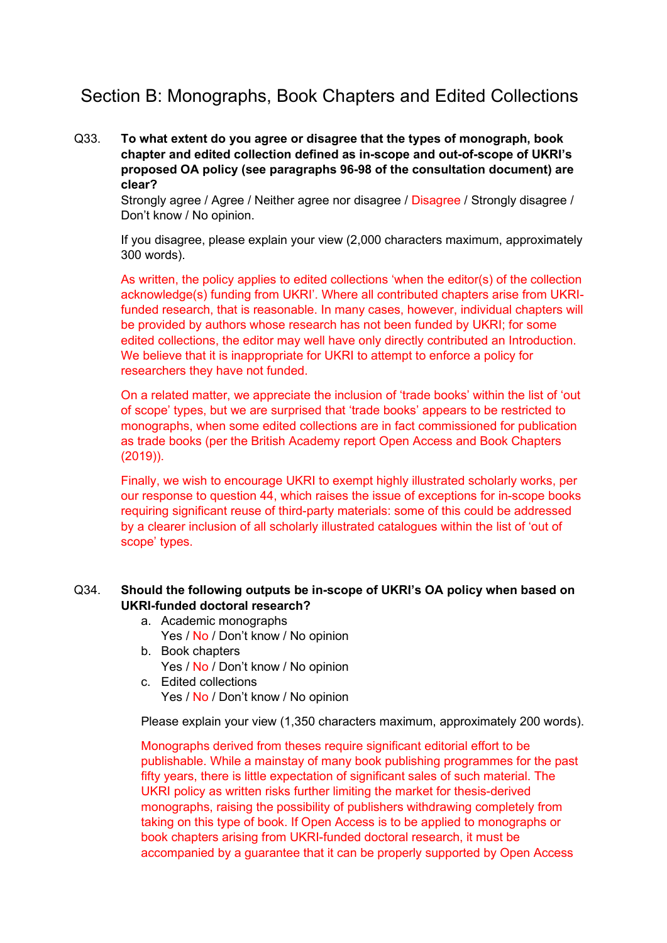## Section B: Monographs, Book Chapters and Edited Collections

Q33. **To what extent do you agree or disagree that the types of monograph, book chapter and edited collection defined as in-scope and out-of-scope of UKRI's proposed OA policy (see paragraphs 96-98 of the consultation document) are clear?**

Strongly agree / Agree / Neither agree nor disagree / Disagree / Strongly disagree / Don't know / No opinion.

If you disagree, please explain your view (2,000 characters maximum, approximately 300 words).

As written, the policy applies to edited collections 'when the editor(s) of the collection acknowledge(s) funding from UKRI'. Where all contributed chapters arise from UKRIfunded research, that is reasonable. In many cases, however, individual chapters will be provided by authors whose research has not been funded by UKRI; for some edited collections, the editor may well have only directly contributed an Introduction. We believe that it is inappropriate for UKRI to attempt to enforce a policy for researchers they have not funded.

On a related matter, we appreciate the inclusion of 'trade books' within the list of 'out of scope' types, but we are surprised that 'trade books' appears to be restricted to monographs, when some edited collections are in fact commissioned for publication as trade books (per the British Academy report Open Access and Book Chapters (2019)).

Finally, we wish to encourage UKRI to exempt highly illustrated scholarly works, per our response to question 44, which raises the issue of exceptions for in-scope books requiring significant reuse of third-party materials: some of this could be addressed by a clearer inclusion of all scholarly illustrated catalogues within the list of 'out of scope' types.

#### Q34. **Should the following outputs be in-scope of UKRI's OA policy when based on UKRI-funded doctoral research?**

#### a. Academic monographs

- Yes / No / Don't know / No opinion
- b. Book chapters
	- Yes / No / Don't know / No opinion
- c. Edited collections Yes / No / Don't know / No opinion

Please explain your view (1,350 characters maximum, approximately 200 words).

Monographs derived from theses require significant editorial effort to be publishable. While a mainstay of many book publishing programmes for the past fifty years, there is little expectation of significant sales of such material. The UKRI policy as written risks further limiting the market for thesis-derived monographs, raising the possibility of publishers withdrawing completely from taking on this type of book. If Open Access is to be applied to monographs or book chapters arising from UKRI-funded doctoral research, it must be accompanied by a guarantee that it can be properly supported by Open Access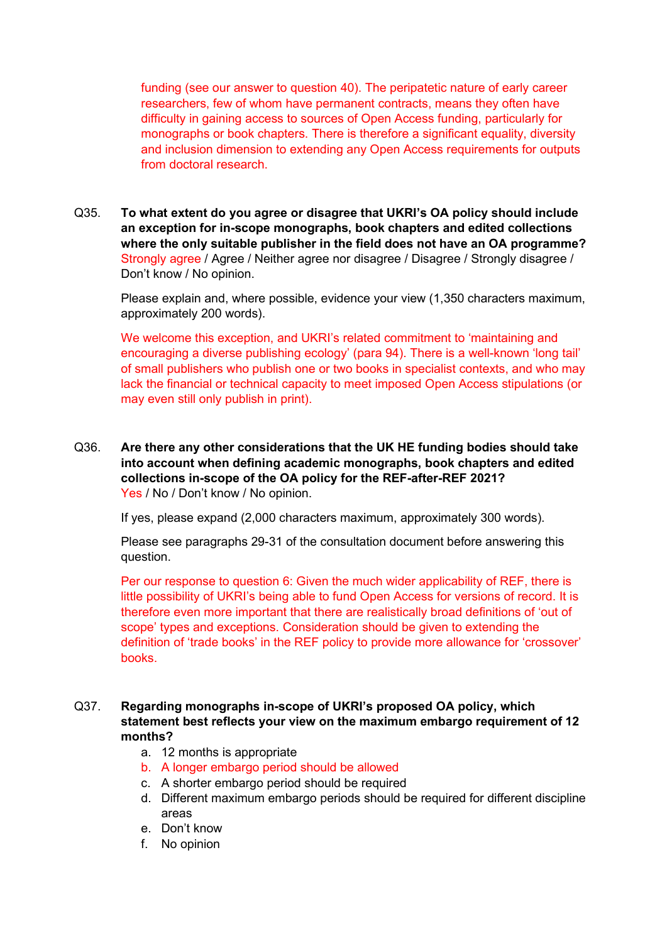funding (see our answer to question 40). The peripatetic nature of early career researchers, few of whom have permanent contracts, means they often have difficulty in gaining access to sources of Open Access funding, particularly for monographs or book chapters. There is therefore a significant equality, diversity and inclusion dimension to extending any Open Access requirements for outputs from doctoral research.

Q35. **To what extent do you agree or disagree that UKRI's OA policy should include an exception for in-scope monographs, book chapters and edited collections where the only suitable publisher in the field does not have an OA programme?** Strongly agree / Agree / Neither agree nor disagree / Disagree / Strongly disagree / Don't know / No opinion.

Please explain and, where possible, evidence your view (1,350 characters maximum, approximately 200 words).

We welcome this exception, and UKRI's related commitment to 'maintaining and encouraging a diverse publishing ecology' (para 94). There is a well-known 'long tail' of small publishers who publish one or two books in specialist contexts, and who may lack the financial or technical capacity to meet imposed Open Access stipulations (or may even still only publish in print).

Q36. **Are there any other considerations that the UK HE funding bodies should take into account when defining academic monographs, book chapters and edited collections in-scope of the OA policy for the REF-after-REF 2021?** Yes / No / Don't know / No opinion.

If yes, please expand (2,000 characters maximum, approximately 300 words).

Please see paragraphs 29-31 of the consultation document before answering this question.

Per our response to question 6: Given the much wider applicability of REF, there is little possibility of UKRI's being able to fund Open Access for versions of record. It is therefore even more important that there are realistically broad definitions of 'out of scope' types and exceptions. Consideration should be given to extending the definition of 'trade books' in the REF policy to provide more allowance for 'crossover' books.

#### Q37. **Regarding monographs in-scope of UKRI's proposed OA policy, which statement best reflects your view on the maximum embargo requirement of 12 months?**

- a. 12 months is appropriate
- b. A longer embargo period should be allowed
- c. A shorter embargo period should be required
- d. Different maximum embargo periods should be required for different discipline areas
- e. Don't know
- f. No opinion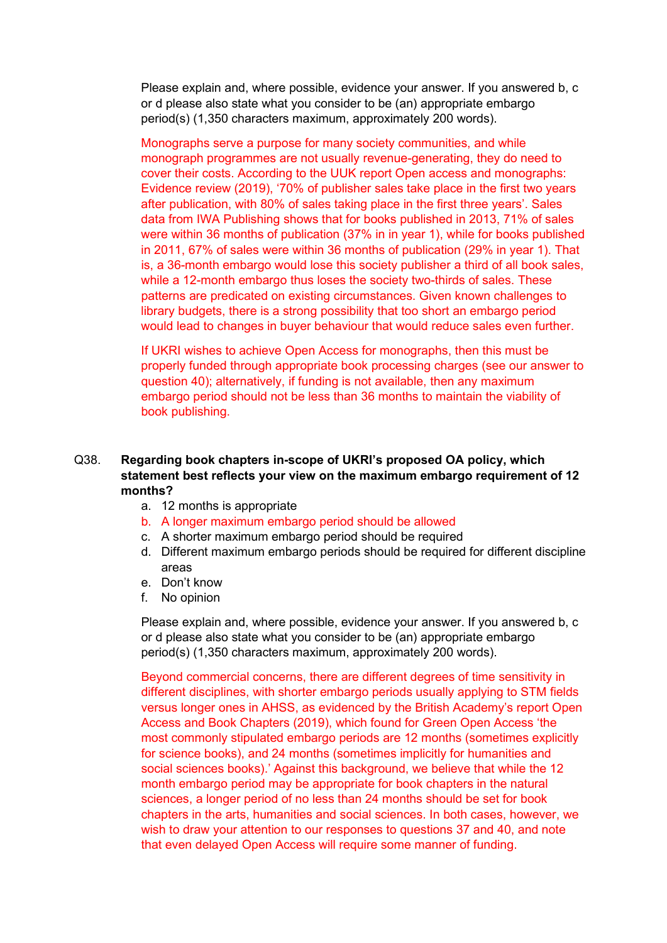Please explain and, where possible, evidence your answer. If you answered b, c or d please also state what you consider to be (an) appropriate embargo period(s) (1,350 characters maximum, approximately 200 words).

Monographs serve a purpose for many society communities, and while monograph programmes are not usually revenue-generating, they do need to cover their costs. According to the UUK report Open access and monographs: Evidence review (2019), '70% of publisher sales take place in the first two years after publication, with 80% of sales taking place in the first three years'. Sales data from IWA Publishing shows that for books published in 2013, 71% of sales were within 36 months of publication (37% in in year 1), while for books published in 2011, 67% of sales were within 36 months of publication (29% in year 1). That is, a 36-month embargo would lose this society publisher a third of all book sales, while a 12-month embargo thus loses the society two-thirds of sales. These patterns are predicated on existing circumstances. Given known challenges to library budgets, there is a strong possibility that too short an embargo period would lead to changes in buyer behaviour that would reduce sales even further.

If UKRI wishes to achieve Open Access for monographs, then this must be properly funded through appropriate book processing charges (see our answer to question 40); alternatively, if funding is not available, then any maximum embargo period should not be less than 36 months to maintain the viability of book publishing.

#### Q38. **Regarding book chapters in-scope of UKRI's proposed OA policy, which statement best reflects your view on the maximum embargo requirement of 12 months?**

- a. 12 months is appropriate
- b. A longer maximum embargo period should be allowed
- c. A shorter maximum embargo period should be required
- d. Different maximum embargo periods should be required for different discipline areas
- e. Don't know
- f. No opinion

Please explain and, where possible, evidence your answer. If you answered b, c or d please also state what you consider to be (an) appropriate embargo period(s) (1,350 characters maximum, approximately 200 words).

Beyond commercial concerns, there are different degrees of time sensitivity in different disciplines, with shorter embargo periods usually applying to STM fields versus longer ones in AHSS, as evidenced by the British Academy's report Open Access and Book Chapters (2019), which found for Green Open Access 'the most commonly stipulated embargo periods are 12 months (sometimes explicitly for science books), and 24 months (sometimes implicitly for humanities and social sciences books).' Against this background, we believe that while the 12 month embargo period may be appropriate for book chapters in the natural sciences, a longer period of no less than 24 months should be set for book chapters in the arts, humanities and social sciences. In both cases, however, we wish to draw your attention to our responses to questions 37 and 40, and note that even delayed Open Access will require some manner of funding.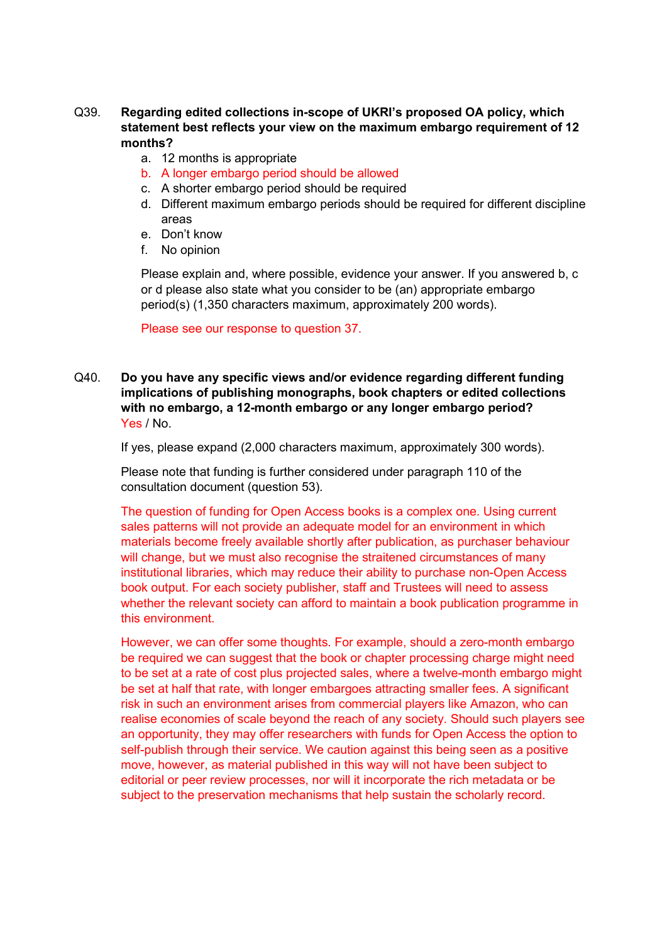#### Q39. **Regarding edited collections in-scope of UKRI's proposed OA policy, which statement best reflects your view on the maximum embargo requirement of 12 months?**

- a. 12 months is appropriate
- b. A longer embargo period should be allowed
- c. A shorter embargo period should be required
- d. Different maximum embargo periods should be required for different discipline areas
- e. Don't know
- f. No opinion

Please explain and, where possible, evidence your answer. If you answered b, c or d please also state what you consider to be (an) appropriate embargo period(s) (1,350 characters maximum, approximately 200 words).

Please see our response to question 37.

Q40. **Do you have any specific views and/or evidence regarding different funding implications of publishing monographs, book chapters or edited collections with no embargo, a 12-month embargo or any longer embargo period?** Yes / No.

If yes, please expand (2,000 characters maximum, approximately 300 words).

Please note that funding is further considered under paragraph 110 of the consultation document (question 53).

The question of funding for Open Access books is a complex one. Using current sales patterns will not provide an adequate model for an environment in which materials become freely available shortly after publication, as purchaser behaviour will change, but we must also recognise the straitened circumstances of many institutional libraries, which may reduce their ability to purchase non-Open Access book output. For each society publisher, staff and Trustees will need to assess whether the relevant society can afford to maintain a book publication programme in this environment.

However, we can offer some thoughts. For example, should a zero-month embargo be required we can suggest that the book or chapter processing charge might need to be set at a rate of cost plus projected sales, where a twelve-month embargo might be set at half that rate, with longer embargoes attracting smaller fees. A significant risk in such an environment arises from commercial players like Amazon, who can realise economies of scale beyond the reach of any society. Should such players see an opportunity, they may offer researchers with funds for Open Access the option to self-publish through their service. We caution against this being seen as a positive move, however, as material published in this way will not have been subject to editorial or peer review processes, nor will it incorporate the rich metadata or be subject to the preservation mechanisms that help sustain the scholarly record.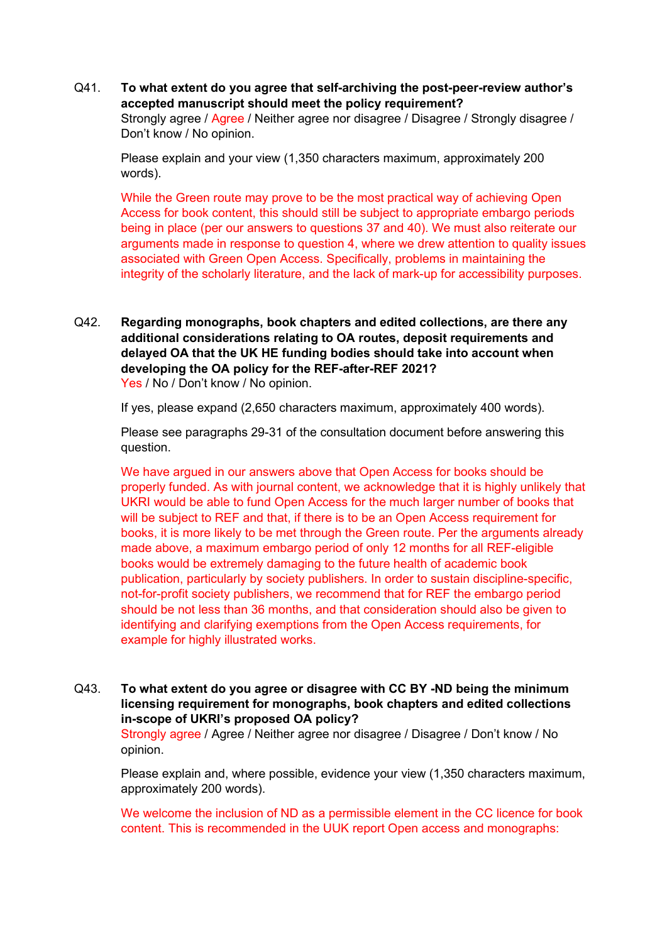Q41. **To what extent do you agree that self-archiving the post-peer-review author's accepted manuscript should meet the policy requirement?**

Strongly agree / Agree / Neither agree nor disagree / Disagree / Strongly disagree / Don't know / No opinion.

Please explain and your view (1,350 characters maximum, approximately 200 words).

While the Green route may prove to be the most practical way of achieving Open Access for book content, this should still be subject to appropriate embargo periods being in place (per our answers to questions 37 and 40). We must also reiterate our arguments made in response to question 4, where we drew attention to quality issues associated with Green Open Access. Specifically, problems in maintaining the integrity of the scholarly literature, and the lack of mark-up for accessibility purposes.

Q42. **Regarding monographs, book chapters and edited collections, are there any additional considerations relating to OA routes, deposit requirements and delayed OA that the UK HE funding bodies should take into account when developing the OA policy for the REF-after-REF 2021?** Yes / No / Don't know / No opinion.

If yes, please expand (2,650 characters maximum, approximately 400 words).

Please see paragraphs 29-31 of the consultation document before answering this question.

We have argued in our answers above that Open Access for books should be properly funded. As with journal content, we acknowledge that it is highly unlikely that UKRI would be able to fund Open Access for the much larger number of books that will be subject to REF and that, if there is to be an Open Access requirement for books, it is more likely to be met through the Green route. Per the arguments already made above, a maximum embargo period of only 12 months for all REF-eligible books would be extremely damaging to the future health of academic book publication, particularly by society publishers. In order to sustain discipline-specific, not-for-profit society publishers, we recommend that for REF the embargo period should be not less than 36 months, and that consideration should also be given to identifying and clarifying exemptions from the Open Access requirements, for example for highly illustrated works.

Q43. **To what extent do you agree or disagree with CC BY -ND being the minimum licensing requirement for monographs, book chapters and edited collections in-scope of UKRI's proposed OA policy?**

Strongly agree / Agree / Neither agree nor disagree / Disagree / Don't know / No opinion.

Please explain and, where possible, evidence your view (1,350 characters maximum, approximately 200 words).

We welcome the inclusion of ND as a permissible element in the CC licence for book content. This is recommended in the UUK report Open access and monographs: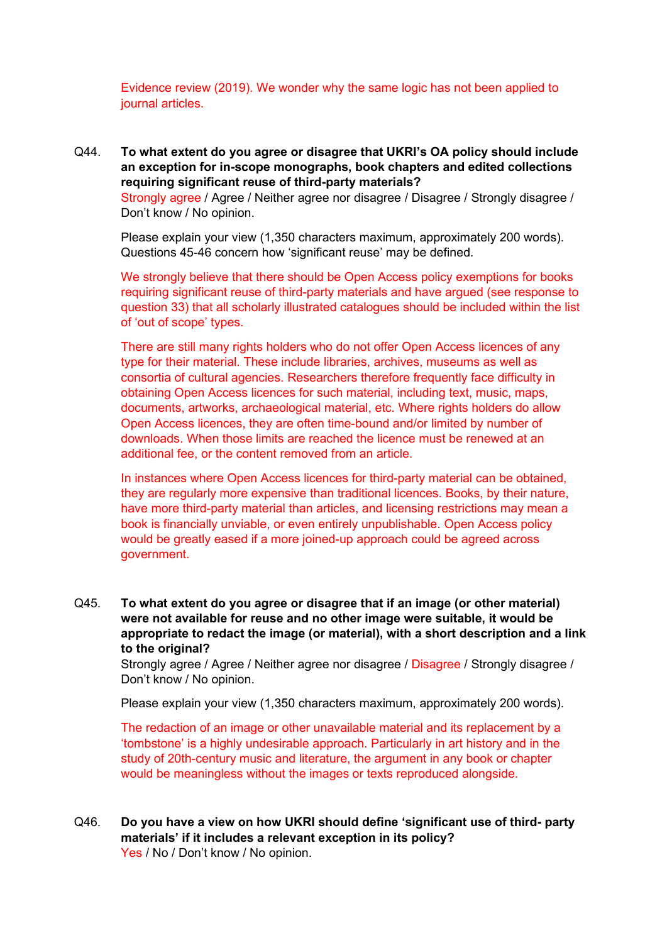Evidence review (2019). We wonder why the same logic has not been applied to journal articles.

Q44. **To what extent do you agree or disagree that UKRI's OA policy should include an exception for in-scope monographs, book chapters and edited collections requiring significant reuse of third-party materials?**

Strongly agree / Agree / Neither agree nor disagree / Disagree / Strongly disagree / Don't know / No opinion.

Please explain your view (1,350 characters maximum, approximately 200 words). Questions 45-46 concern how 'significant reuse' may be defined.

We strongly believe that there should be Open Access policy exemptions for books requiring significant reuse of third-party materials and have argued (see response to question 33) that all scholarly illustrated catalogues should be included within the list of 'out of scope' types.

There are still many rights holders who do not offer Open Access licences of any type for their material. These include libraries, archives, museums as well as consortia of cultural agencies. Researchers therefore frequently face difficulty in obtaining Open Access licences for such material, including text, music, maps, documents, artworks, archaeological material, etc. Where rights holders do allow Open Access licences, they are often time-bound and/or limited by number of downloads. When those limits are reached the licence must be renewed at an additional fee, or the content removed from an article.

In instances where Open Access licences for third-party material can be obtained, they are regularly more expensive than traditional licences. Books, by their nature, have more third-party material than articles, and licensing restrictions may mean a book is financially unviable, or even entirely unpublishable. Open Access policy would be greatly eased if a more joined-up approach could be agreed across government.

Q45. **To what extent do you agree or disagree that if an image (or other material) were not available for reuse and no other image were suitable, it would be appropriate to redact the image (or material), with a short description and a link to the original?**

Strongly agree / Agree / Neither agree nor disagree / Disagree / Strongly disagree / Don't know / No opinion.

Please explain your view (1,350 characters maximum, approximately 200 words).

The redaction of an image or other unavailable material and its replacement by a 'tombstone' is a highly undesirable approach. Particularly in art history and in the study of 20th-century music and literature, the argument in any book or chapter would be meaningless without the images or texts reproduced alongside.

Q46. **Do you have a view on how UKRI should define 'significant use of third- party materials' if it includes a relevant exception in its policy?** Yes / No / Don't know / No opinion.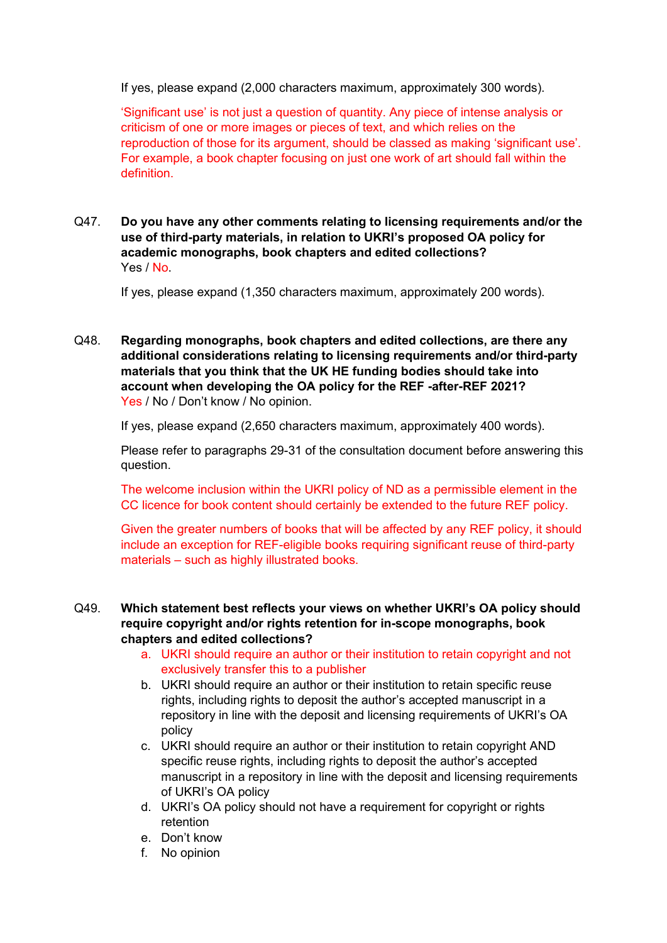If yes, please expand (2,000 characters maximum, approximately 300 words).

'Significant use' is not just a question of quantity. Any piece of intense analysis or criticism of one or more images or pieces of text, and which relies on the reproduction of those for its argument, should be classed as making 'significant use'. For example, a book chapter focusing on just one work of art should fall within the definition.

Q47. **Do you have any other comments relating to licensing requirements and/or the use of third-party materials, in relation to UKRI's proposed OA policy for academic monographs, book chapters and edited collections?** Yes / No.

If yes, please expand (1,350 characters maximum, approximately 200 words).

Q48. **Regarding monographs, book chapters and edited collections, are there any additional considerations relating to licensing requirements and/or third-party materials that you think that the UK HE funding bodies should take into account when developing the OA policy for the REF -after-REF 2021?** Yes / No / Don't know / No opinion.

If yes, please expand (2,650 characters maximum, approximately 400 words).

Please refer to paragraphs 29-31 of the consultation document before answering this question.

The welcome inclusion within the UKRI policy of ND as a permissible element in the CC licence for book content should certainly be extended to the future REF policy.

Given the greater numbers of books that will be affected by any REF policy, it should include an exception for REF-eligible books requiring significant reuse of third-party materials – such as highly illustrated books.

#### Q49. **Which statement best reflects your views on whether UKRI's OA policy should require copyright and/or rights retention for in-scope monographs, book chapters and edited collections?**

- a. UKRI should require an author or their institution to retain copyright and not exclusively transfer this to a publisher
- b. UKRI should require an author or their institution to retain specific reuse rights, including rights to deposit the author's accepted manuscript in a repository in line with the deposit and licensing requirements of UKRI's OA policy
- c. UKRI should require an author or their institution to retain copyright AND specific reuse rights, including rights to deposit the author's accepted manuscript in a repository in line with the deposit and licensing requirements of UKRI's OA policy
- d. UKRI's OA policy should not have a requirement for copyright or rights retention
- e. Don't know
- f. No opinion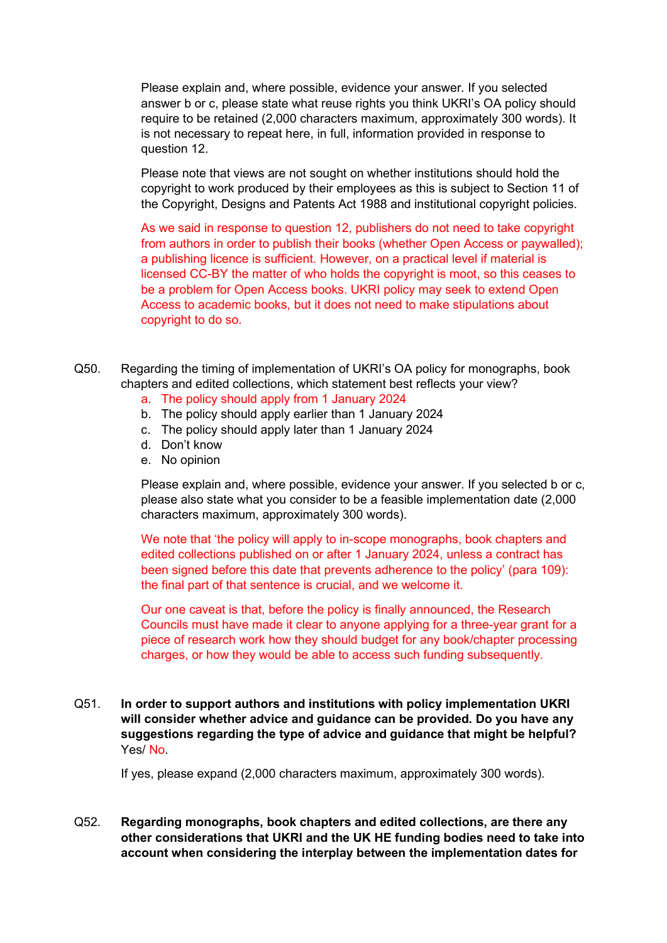Please explain and, where possible, evidence your answer. If you selected answer b or c, please state what reuse rights you think UKRI's OA policy should require to be retained (2,000 characters maximum, approximately 300 words). It is not necessary to repeat here, in full, information provided in response to question 12.

Please note that views are not sought on whether institutions should hold the copyright to work produced by their employees as this is subject to Section 11 of the Copyright, Designs and Patents Act 1988 and institutional copyright policies.

As we said in response to question 12, publishers do not need to take copyright from authors in order to publish their books (whether Open Access or paywalled); a publishing licence is sufficient. However, on a practical level if material is licensed CC-BY the matter of who holds the copyright is moot, so this ceases to be a problem for Open Access books. UKRI policy may seek to extend Open Access to academic books, but it does not need to make stipulations about copyright to do so.

- Q50. Regarding the timing of implementation of UKRI's OA policy for monographs, book chapters and edited collections, which statement best reflects your view?
	- a. The policy should apply from 1 January 2024
	- b. The policy should apply earlier than 1 January 2024
	- c. The policy should apply later than 1 January 2024
	- d. Don't know
	- e. No opinion

Please explain and, where possible, evidence your answer. If you selected b or c, please also state what you consider to be a feasible implementation date (2,000 characters maximum, approximately 300 words).

We note that 'the policy will apply to in-scope monographs, book chapters and edited collections published on or after 1 January 2024, unless a contract has been signed before this date that prevents adherence to the policy' (para 109): the final part of that sentence is crucial, and we welcome it.

Our one caveat is that, before the policy is finally announced, the Research Councils must have made it clear to anyone applying for a three-year grant for a piece of research work how they should budget for any book/chapter processing charges, or how they would be able to access such funding subsequently.

Q51. **In order to support authors and institutions with policy implementation UKRI will consider whether advice and guidance can be provided. Do you have any suggestions regarding the type of advice and guidance that might be helpful?** Yes/ No.

If yes, please expand (2,000 characters maximum, approximately 300 words).

Q52. **Regarding monographs, book chapters and edited collections, are there any other considerations that UKRI and the UK HE funding bodies need to take into account when considering the interplay between the implementation dates for**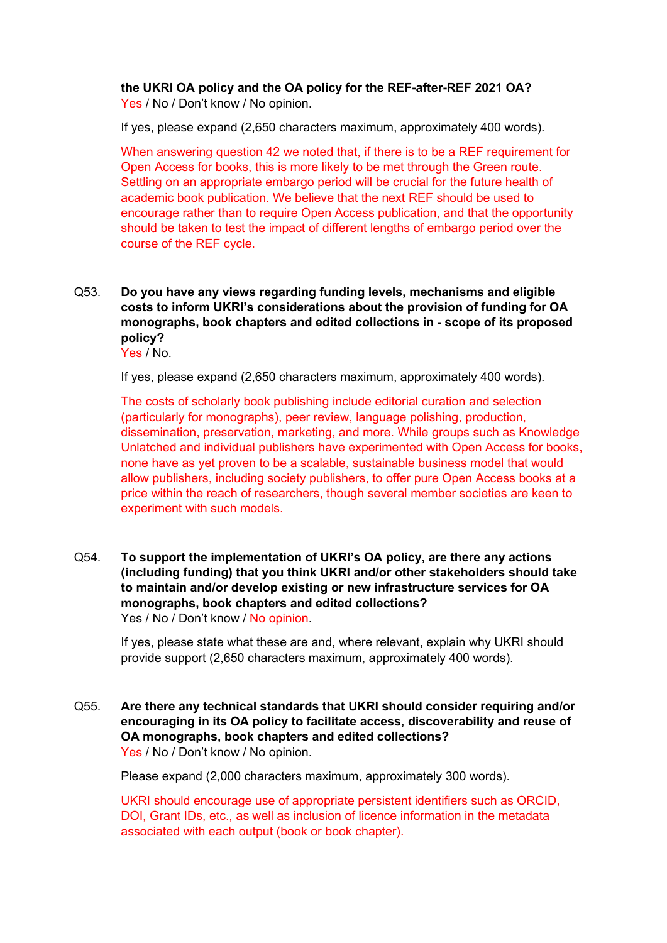#### **the UKRI OA policy and the OA policy for the REF-after-REF 2021 OA?** Yes / No / Don't know / No opinion.

If yes, please expand (2,650 characters maximum, approximately 400 words).

When answering question 42 we noted that, if there is to be a REF requirement for Open Access for books, this is more likely to be met through the Green route. Settling on an appropriate embargo period will be crucial for the future health of academic book publication. We believe that the next REF should be used to encourage rather than to require Open Access publication, and that the opportunity should be taken to test the impact of different lengths of embargo period over the course of the REF cycle.

#### Q53. **Do you have any views regarding funding levels, mechanisms and eligible costs to inform UKRI's considerations about the provision of funding for OA monographs, book chapters and edited collections in - scope of its proposed policy?**

Yes / No.

If yes, please expand (2,650 characters maximum, approximately 400 words).

The costs of scholarly book publishing include editorial curation and selection (particularly for monographs), peer review, language polishing, production, dissemination, preservation, marketing, and more. While groups such as Knowledge Unlatched and individual publishers have experimented with Open Access for books, none have as yet proven to be a scalable, sustainable business model that would allow publishers, including society publishers, to offer pure Open Access books at a price within the reach of researchers, though several member societies are keen to experiment with such models.

Q54. **To support the implementation of UKRI's OA policy, are there any actions (including funding) that you think UKRI and/or other stakeholders should take to maintain and/or develop existing or new infrastructure services for OA monographs, book chapters and edited collections?** Yes / No / Don't know / No opinion.

If yes, please state what these are and, where relevant, explain why UKRI should provide support (2,650 characters maximum, approximately 400 words).

Q55. **Are there any technical standards that UKRI should consider requiring and/or encouraging in its OA policy to facilitate access, discoverability and reuse of OA monographs, book chapters and edited collections?** Yes / No / Don't know / No opinion.

Please expand (2,000 characters maximum, approximately 300 words).

UKRI should encourage use of appropriate persistent identifiers such as ORCID, DOI, Grant IDs, etc., as well as inclusion of licence information in the metadata associated with each output (book or book chapter).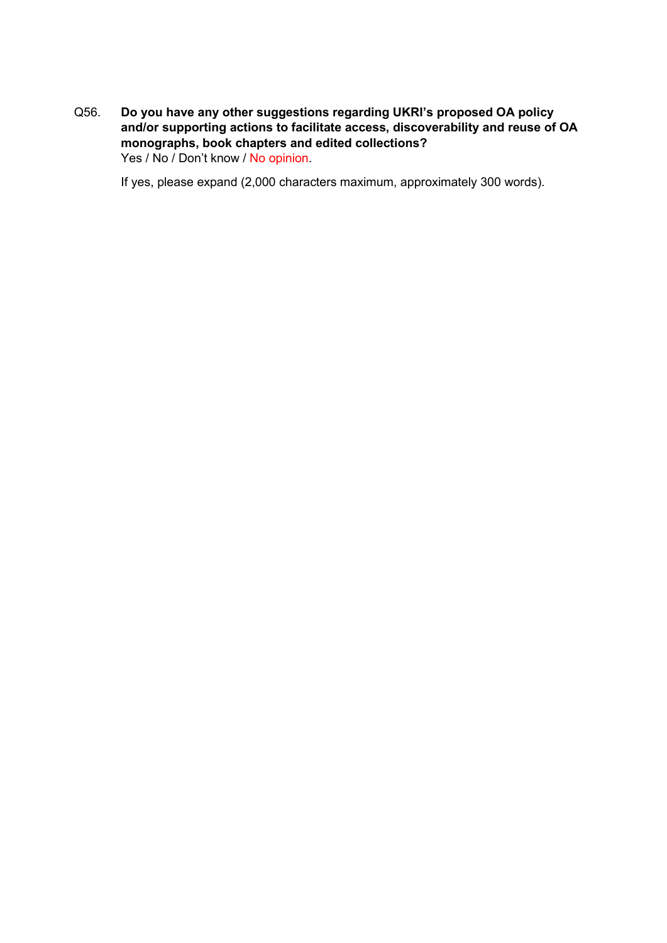Q56. **Do you have any other suggestions regarding UKRI's proposed OA policy and/or supporting actions to facilitate access, discoverability and reuse of OA monographs, book chapters and edited collections?** Yes / No / Don't know / No opinion.

If yes, please expand (2,000 characters maximum, approximately 300 words).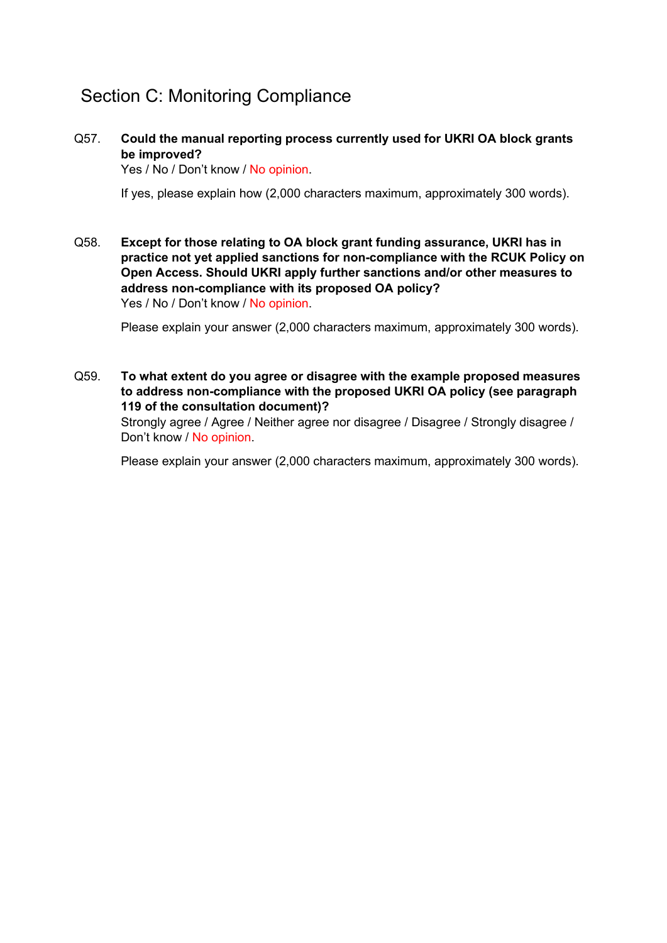## Section C: Monitoring Compliance

Q57. **Could the manual reporting process currently used for UKRI OA block grants be improved?**

Yes / No / Don't know / No opinion.

If yes, please explain how (2,000 characters maximum, approximately 300 words).

Q58. **Except for those relating to OA block grant funding assurance, UKRI has in practice not yet applied sanctions for non-compliance with the RCUK Policy on Open Access. Should UKRI apply further sanctions and/or other measures to address non-compliance with its proposed OA policy?**  Yes / No / Don't know / No opinion.

Please explain your answer (2,000 characters maximum, approximately 300 words).

Q59. **To what extent do you agree or disagree with the example proposed measures to address non-compliance with the proposed UKRI OA policy (see paragraph 119 of the consultation document)?**

Strongly agree / Agree / Neither agree nor disagree / Disagree / Strongly disagree / Don't know / No opinion.

Please explain your answer (2,000 characters maximum, approximately 300 words).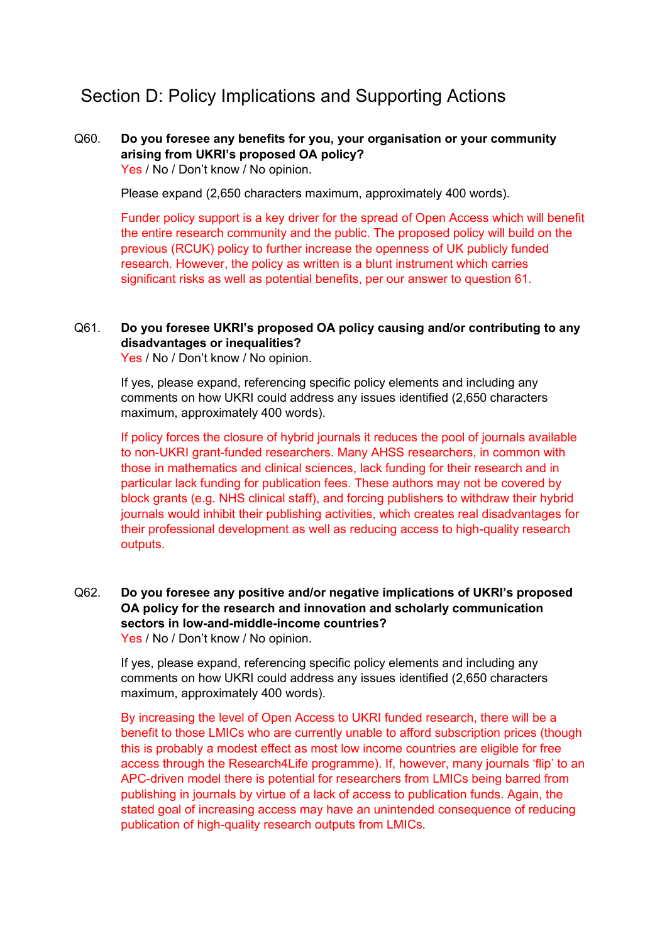## Section D: Policy Implications and Supporting Actions

#### Q60. **Do you foresee any benefits for you, your organisation or your community arising from UKRI's proposed OA policy?** Yes / No / Don't know / No opinion.

Please expand (2,650 characters maximum, approximately 400 words).

Funder policy support is a key driver for the spread of Open Access which will benefit the entire research community and the public. The proposed policy will build on the previous (RCUK) policy to further increase the openness of UK publicly funded research. However, the policy as written is a blunt instrument which carries significant risks as well as potential benefits, per our answer to question 61.

#### Q61. **Do you foresee UKRI's proposed OA policy causing and/or contributing to any disadvantages or inequalities?**

Yes / No / Don't know / No opinion.

If yes, please expand, referencing specific policy elements and including any comments on how UKRI could address any issues identified (2,650 characters maximum, approximately 400 words).

If policy forces the closure of hybrid journals it reduces the pool of journals available to non-UKRI grant-funded researchers. Many AHSS researchers, in common with those in mathematics and clinical sciences, lack funding for their research and in particular lack funding for publication fees. These authors may not be covered by block grants (e.g. NHS clinical staff), and forcing publishers to withdraw their hybrid journals would inhibit their publishing activities, which creates real disadvantages for their professional development as well as reducing access to high-quality research outputs.

#### Q62. **Do you foresee any positive and/or negative implications of UKRI's proposed OA policy for the research and innovation and scholarly communication sectors in low-and-middle-income countries?** Yes / No / Don't know / No opinion.

If yes, please expand, referencing specific policy elements and including any comments on how UKRI could address any issues identified (2,650 characters maximum, approximately 400 words).

By increasing the level of Open Access to UKRI funded research, there will be a benefit to those LMICs who are currently unable to afford subscription prices (though this is probably a modest effect as most low income countries are eligible for free access through the Research4Life programme). If, however, many journals 'flip' to an APC-driven model there is potential for researchers from LMICs being barred from publishing in journals by virtue of a lack of access to publication funds. Again, the stated goal of increasing access may have an unintended consequence of reducing publication of high-quality research outputs from LMICs.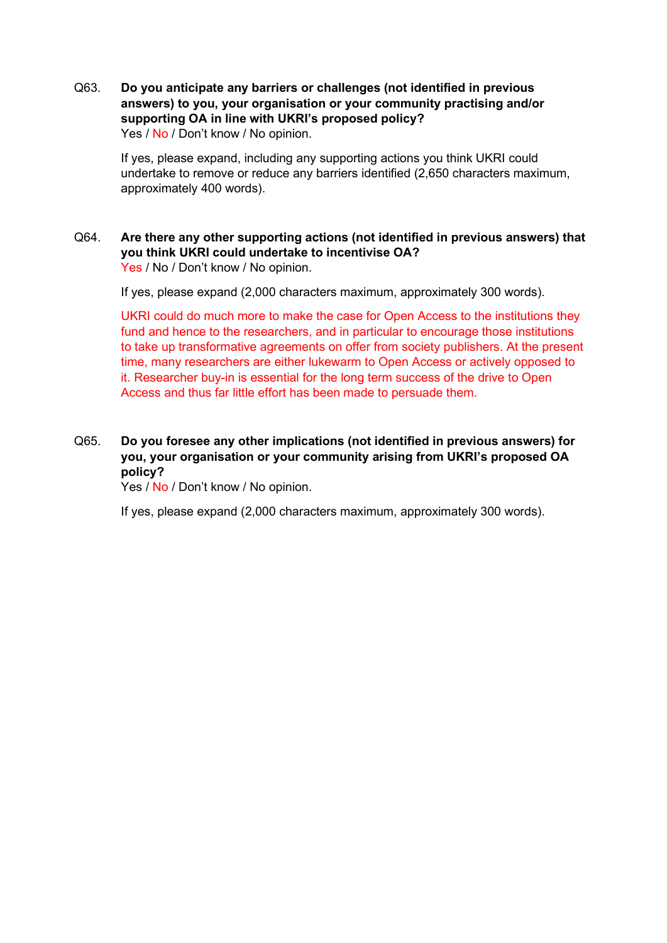Q63. **Do you anticipate any barriers or challenges (not identified in previous answers) to you, your organisation or your community practising and/or supporting OA in line with UKRI's proposed policy?** Yes / No / Don't know / No opinion.

If yes, please expand, including any supporting actions you think UKRI could undertake to remove or reduce any barriers identified (2,650 characters maximum, approximately 400 words).

Q64. **Are there any other supporting actions (not identified in previous answers) that you think UKRI could undertake to incentivise OA?**  Yes / No / Don't know / No opinion.

If yes, please expand (2,000 characters maximum, approximately 300 words).

UKRI could do much more to make the case for Open Access to the institutions they fund and hence to the researchers, and in particular to encourage those institutions to take up transformative agreements on offer from society publishers. At the present time, many researchers are either lukewarm to Open Access or actively opposed to it. Researcher buy-in is essential for the long term success of the drive to Open Access and thus far little effort has been made to persuade them.

Q65. **Do you foresee any other implications (not identified in previous answers) for you, your organisation or your community arising from UKRI's proposed OA policy?**

Yes / No / Don't know / No opinion.

If yes, please expand (2,000 characters maximum, approximately 300 words).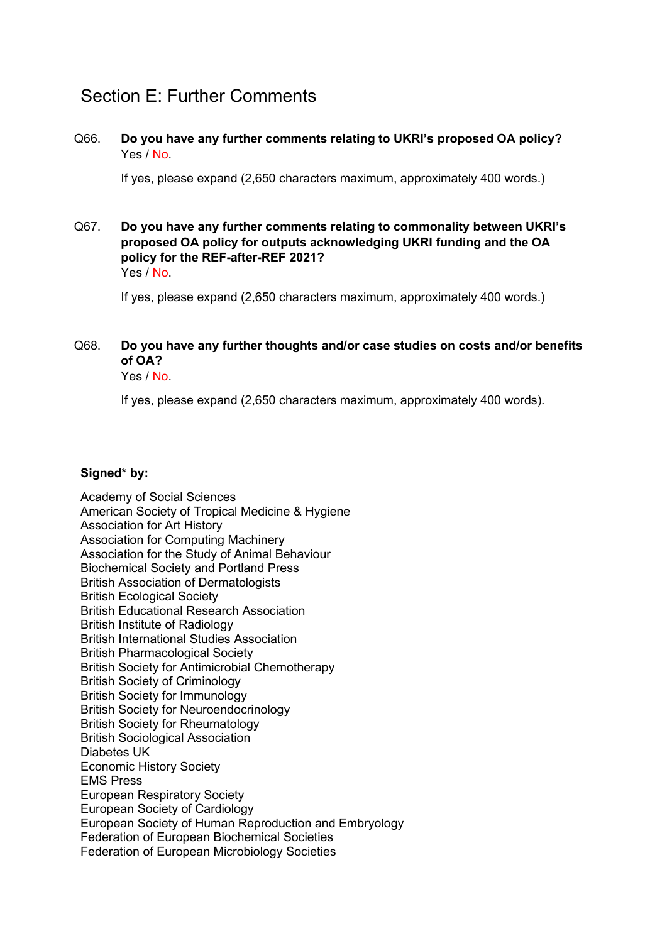## Section E: Further Comments

#### Q66. **Do you have any further comments relating to UKRI's proposed OA policy?** Yes / No.

If yes, please expand (2,650 characters maximum, approximately 400 words.)

Q67. **Do you have any further comments relating to commonality between UKRI's proposed OA policy for outputs acknowledging UKRI funding and the OA policy for the REF-after-REF 2021?** Yes / No.

If yes, please expand (2,650 characters maximum, approximately 400 words.)

### Q68. **Do you have any further thoughts and/or case studies on costs and/or benefits of OA?**

Yes / No.

If yes, please expand (2,650 characters maximum, approximately 400 words).

#### **Signed\* by:**

Academy of Social Sciences American Society of Tropical Medicine & Hygiene Association for Art History Association for Computing Machinery Association for the Study of Animal Behaviour Biochemical Society and Portland Press British Association of Dermatologists British Ecological Society British Educational Research Association British Institute of Radiology British International Studies Association British Pharmacological Society British Society for Antimicrobial Chemotherapy British Society of Criminology British Society for Immunology British Society for Neuroendocrinology British Society for Rheumatology British Sociological Association Diabetes UK Economic History Society EMS Press European Respiratory Society European Society of Cardiology European Society of Human Reproduction and Embryology Federation of European Biochemical Societies Federation of European Microbiology Societies